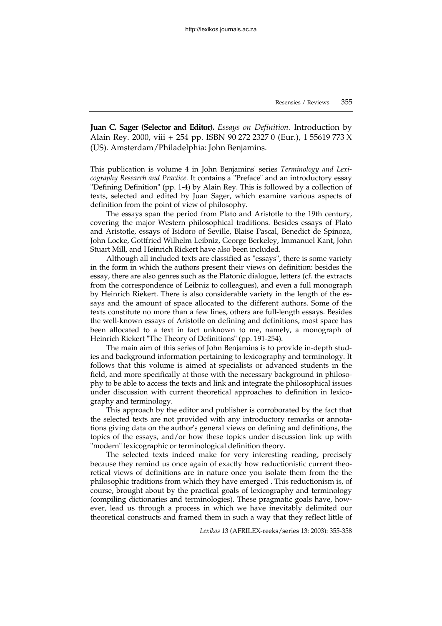**Juan C. Sager (Selector and Editor).** *Essays on Definition.* Introduction by Alain Rey. 2000, viii + 254 pp. ISBN 90 272 2327 0 (Eur.), 1 55619 773 X (US). Amsterdam/Philadelphia: John Benjamins.

This publication is volume 4 in John Benjamins' series *Terminology and Lexicography Research and Practice.* It contains a "Preface" and an introductory essay "Defining Definition" (pp. 1-4) by Alain Rey. This is followed by a collection of texts, selected and edited by Juan Sager, which examine various aspects of definition from the point of view of philosophy.

The essays span the period from Plato and Aristotle to the 19th century, covering the major Western philosophical traditions. Besides essays of Plato and Aristotle, essays of Isidoro of Seville, Blaise Pascal, Benedict de Spinoza, John Locke, Gottfried Wilhelm Leibniz, George Berkeley, Immanuel Kant, John Stuart Mill, and Heinrich Rickert have also been included.

Although all included texts are classified as "essays", there is some variety in the form in which the authors present their views on definition: besides the essay, there are also genres such as the Platonic dialogue, letters (cf. the extracts from the correspondence of Leibniz to colleagues), and even a full monograph by Heinrich Riekert. There is also considerable variety in the length of the essays and the amount of space allocated to the different authors. Some of the texts constitute no more than a few lines, others are full-length essays. Besides the well-known essays of Aristotle on defining and definitions, most space has been allocated to a text in fact unknown to me, namely, a monograph of Heinrich Riekert "The Theory of Definitions" (pp. 191-254).

The main aim of this series of John Benjamins is to provide in-depth studies and background information pertaining to lexicography and terminology. It follows that this volume is aimed at specialists or advanced students in the field, and more specifically at those with the necessary background in philosophy to be able to access the texts and link and integrate the philosophical issues under discussion with current theoretical approaches to definition in lexicography and terminology.

This approach by the editor and publisher is corroborated by the fact that the selected texts are not provided with any introductory remarks or annotations giving data on the author's general views on defining and definitions, the topics of the essays, and/or how these topics under discussion link up with "modern" lexicographic or terminological definition theory.

The selected texts indeed make for very interesting reading, precisely because they remind us once again of exactly how reductionistic current theoretical views of definitions are in nature once you isolate them from the the philosophic traditions from which they have emerged . This reductionism is, of course, brought about by the practical goals of lexicography and terminology (compiling dictionaries and terminologies). These pragmatic goals have, however, lead us through a process in which we have inevitably delimited our theoretical constructs and framed them in such a way that they reflect little of

*Lexikos* 13 (AFRILEX-reeks/series 13: 2003): 355-358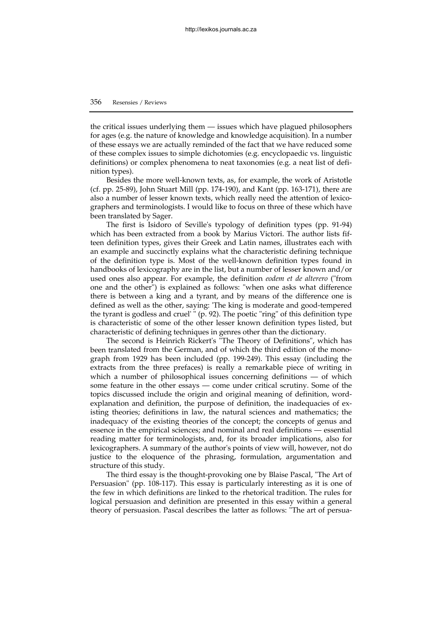## 356 Resensies / Reviews

the critical issues underlying them — issues which have plagued philosophers for ages (e.g. the nature of knowledge and knowledge acquisition). In a number of these essays we are actually reminded of the fact that we have reduced some of these complex issues to simple dichotomies (e.g. encyclopaedic vs. linguistic definitions) or complex phenomena to neat taxonomies (e.g. a neat list of definition types).

Besides the more well-known texts, as, for example, the work of Aristotle (cf. pp. 25-89), John Stuart Mill (pp. 174-190), and Kant (pp. 163-171), there are also a number of lesser known texts, which really need the attention of lexicographers and terminologists. I would like to focus on three of these which have been translated by Sager.

The first is Isidoro of Seville's typology of definition types (pp. 91-94) which has been extracted from a book by Marius Victori. The author lists fifteen definition types, gives their Greek and Latin names, illustrates each with an example and succinctly explains what the characteristic defining technique of the definition type is. Most of the well-known definition types found in handbooks of lexicography are in the list, but a number of lesser known and/or used ones also appear. For example, the definition *eodem et de alterero* ("from one and the other") is explained as follows: "when one asks what difference there is between a king and a tyrant, and by means of the difference one is defined as well as the other, saying: 'The king is moderate and good-tempered the tyrant is godless and cruel' " (p. 92). The poetic "ring" of this definition type is characteristic of some of the other lesser known definition types listed, but characteristic of defining techniques in genres other than the dictionary.

The second is Heinrich Rickert's "The Theory of Definitions", which has been translated from the German, and of which the third edition of the monograph from 1929 has been included (pp. 199-249). This essay (including the extracts from the three prefaces) is really a remarkable piece of writing in which a number of philosophical issues concerning definitions — of which some feature in the other essays — come under critical scrutiny. Some of the topics discussed include the origin and original meaning of definition, wordexplanation and definition, the purpose of definition, the inadequacies of existing theories; definitions in law, the natural sciences and mathematics; the inadequacy of the existing theories of the concept; the concepts of genus and essence in the empirical sciences; and nominal and real definitions — essential reading matter for terminologists, and, for its broader implications, also for lexicographers. A summary of the author's points of view will, however, not do justice to the eloquence of the phrasing, formulation, argumentation and structure of this study.

The third essay is the thought-provoking one by Blaise Pascal, "The Art of Persuasion" (pp. 108-117). This essay is particularly interesting as it is one of the few in which definitions are linked to the rhetorical tradition. The rules for logical persuasion and definition are presented in this essay within a general theory of persuasion. Pascal describes the latter as follows: "The art of persua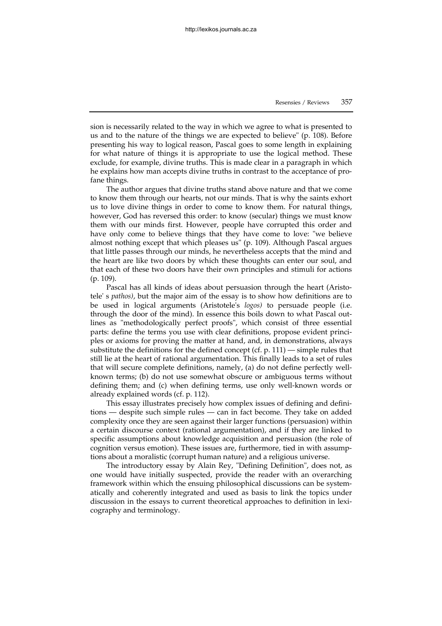sion is necessarily related to the way in which we agree to what is presented to us and to the nature of the things we are expected to believe" (p. 108). Before presenting his way to logical reason, Pascal goes to some length in explaining for what nature of things it is appropriate to use the logical method. These exclude, for example, divine truths. This is made clear in a paragraph in which he explains how man accepts divine truths in contrast to the acceptance of profane things.

The author argues that divine truths stand above nature and that we come to know them through our hearts, not our minds. That is why the saints exhort us to love divine things in order to come to know them. For natural things, however, God has reversed this order: to know (secular) things we must know them with our minds first. However, people have corrupted this order and have only come to believe things that they have come to love: "we believe almost nothing except that which pleases us" (p. 109). Although Pascal argues that little passes through our minds, he nevertheless accepts that the mind and the heart are like two doors by which these thoughts can enter our soul, and that each of these two doors have their own principles and stimuli for actions (p. 109).

Pascal has all kinds of ideas about persuasion through the heart (Aristotele' s *pathos)*, but the major aim of the essay is to show how definitions are to be used in logical arguments (Aristotele's *logos)* to persuade people (i.e. through the door of the mind). In essence this boils down to what Pascal outlines as "methodologically perfect proofs", which consist of three essential parts: define the terms you use with clear definitions, propose evident principles or axioms for proving the matter at hand, and, in demonstrations, always substitute the definitions for the defined concept (cf. p. 111) — simple rules that still lie at the heart of rational argumentation. This finally leads to a set of rules that will secure complete definitions, namely, (a) do not define perfectly wellknown terms; (b) do not use somewhat obscure or ambiguous terms without defining them; and (c) when defining terms, use only well-known words or already explained words (cf. p. 112).

This essay illustrates precisely how complex issues of defining and definitions — despite such simple rules — can in fact become. They take on added complexity once they are seen against their larger functions (persuasion) within a certain discourse context (rational argumentation), and if they are linked to specific assumptions about knowledge acquisition and persuasion (the role of cognition versus emotion). These issues are, furthermore, tied in with assumptions about a moralistic (corrupt human nature) and a religious universe.

The introductory essay by Alain Rey, "Defining Definition", does not, as one would have initially suspected, provide the reader with an overarching framework within which the ensuing philosophical discussions can be systematically and coherently integrated and used as basis to link the topics under discussion in the essays to current theoretical approaches to definition in lexicography and terminology.